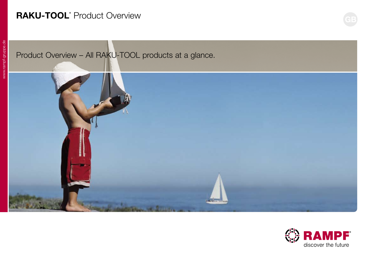## **RAKU-TOOL®** Product Overview

# Product Overview – All RAKU-TOOL products at a glance.



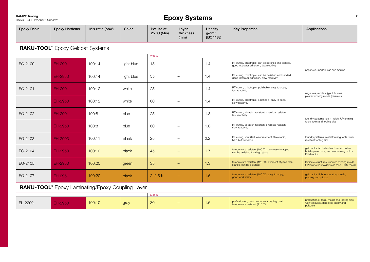RAMPF Tooling<br>RAKU-TOOL Product Overview

### **Epoxy Systems**

| <b>Epoxy Resin</b> | <b>Epoxy Hardener</b> | Mix ratio (pbw) | Color | Pot life at<br>25 °C (Min) | Layer<br>thickness | Density<br>g/cm <sup>3</sup> | <b>Key Properties</b> | Applications |
|--------------------|-----------------------|-----------------|-------|----------------------------|--------------------|------------------------------|-----------------------|--------------|
|                    |                       |                 |       |                            | (mm)               | (ISO 1183)                   |                       |              |

**RAKU-TOOL®** Epoxy Gelcoat Systems

|         |         |        |            | 250 ml      |                          |     |                                                                                                  |                                                                                                          |
|---------|---------|--------|------------|-------------|--------------------------|-----|--------------------------------------------------------------------------------------------------|----------------------------------------------------------------------------------------------------------|
| EG-2100 | EH-2901 | 100:14 | light blue | 15          | $\overline{\phantom{0}}$ | 1.4 | RT curing, thixotropic, can be polished and sanded,<br>good interlayer adhesion, fast reactivity | negatives, models, jigs and fixtures                                                                     |
|         | EH-2950 | 100:14 | light blue | 35          | $\qquad \qquad -$        | 1.4 | RT curing, thixotropic, can be polished and sanded,<br>good interlayer adhesion, slow reactivity |                                                                                                          |
| EG-2101 | EH-2901 | 100:12 | white      | 25          | $\overline{\phantom{0}}$ | 1.4 | RT curing, thixotropic, polishable, easy to apply,<br>fast reactivity                            | negatives, models, jigs & fixtures,                                                                      |
|         | EH-2950 | 100:12 | white      | 60          | $\overline{\phantom{0}}$ | 1.4 | RT curing, thixotropic, polishable, easy to apply,<br>slow reactivity                            | plaster working molds (ceramics)                                                                         |
| EG-2102 | EH-2901 | 100:8  | blue       | 25          | $\qquad \qquad -$        | 1.8 | RT curing, abrasion resistant, chemical resistant,<br>fast reactivity                            | foundry patterns, foam molds, UP forming                                                                 |
|         | EH-2950 | 100:8  | blue       | 60          | -                        | 1.8 | RT curing, abrasion resistant, chemical resistant,<br>slow reactivity                            | tools, tools and tooling aids                                                                            |
| EG-2103 | EH-2903 | 100:11 | black      | 25          | $\qquad \qquad -$        | 2.2 | RT curing, iron filled, wear resistant, thixotropic,<br>hard but workable                        | foundry patterns, metal forming tools, wear<br>resistant tooling aids                                    |
| EG-2104 | EH-2950 | 100:10 | black      | 45          | $\overline{\phantom{0}}$ | 1.7 | temperature resistant (105 °C), very easy to apply,<br>can be polished to a high gloss           | gelcoat for laminate structures and other<br>build-up methods, vacuum forming molds,<br><b>RTM</b> molds |
| EG-2105 | EH-2950 | 100:20 | green      | 35          | $\overline{\phantom{0}}$ | 1.3 | temperature resistant (120 °C), excellent styrene resi-<br>stance, can be polished               | laminate structures, vacuum forming molds,<br>UP laminated molds/press tools, RTM molds                  |
| EG-2107 | EH-2951 | 100:20 | black      | $2 - 2.5 h$ | $\overline{\phantom{0}}$ | 1.6 | temperature resistant (180 °C), easy to apply,<br>good workability                               | gelcoat for high temperature molds,<br>prepreg lay up tools                                              |

**RAKU-TOOL®** Epoxy Laminating/Epoxy Coupling Layer

|         |       | 500 m  |      |     |   |     |                                                                           |                                                                                                |
|---------|-------|--------|------|-----|---|-----|---------------------------------------------------------------------------|------------------------------------------------------------------------------------------------|
| EL-2209 | -2950 | 100:10 | gray | -30 | - | 1.6 | abricated, two component coupling coat,<br>temperature resistant (115 °C) | production of tools, molds and tooling aids<br>with various systems like epoxy and<br>polyurea |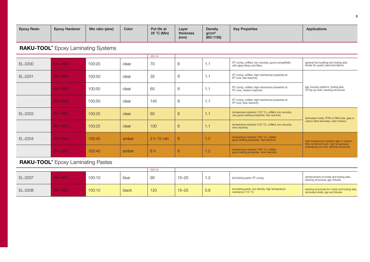| <b>Epoxy Resin</b> | <b>Epoxy Hardener</b> | Mix ratio (pbw) | Color | Pot life at<br>25 °C (Min) | Layer<br>thickness<br>(mm) | Density<br>g/cm <sup>3</sup><br>(ISO 1183) | <b>Key Properties</b> | Applications |
|--------------------|-----------------------|-----------------|-------|----------------------------|----------------------------|--------------------------------------------|-----------------------|--------------|
|--------------------|-----------------------|-----------------|-------|----------------------------|----------------------------|--------------------------------------------|-----------------------|--------------|

**RAKU-TOOL®** Epoxy Laminating Systems

|         |         |        | 500 ml |            | general tool building and tooling aids,<br>RT curing, unfilled, low viscosity, good compatibility<br>1.1<br>with glass fibres and fillers<br>binder for quartz sand and fabrics<br>RT curing, unfilled, high mechanical properties at<br>1.1<br>RT cure, fast reactivity<br>RT curing, unfilled, high mechanical properties at<br>jigs, foundry patterns, tooling aids,<br>1.1<br>UP lay up tools, backing structures<br>RT cure, medium reactivity<br>RT curing, unfilled, high mechanical properties at<br>1.1<br>RT cure, slow reactivity<br>temperature resistant (120 °C), unfilled, low viscosity,<br>1.1<br>very good wetting properties, fast reactivity<br>laminated molds, RTM or RIM tools, glas or<br>carbon fibre laminates, resin infusion<br>temperature resistant (120 °C), unfilled, low viscosity,<br>1.1<br>slow reactivity |     |                                                                                       |                                                                                       |
|---------|---------|--------|--------|------------|------------------------------------------------------------------------------------------------------------------------------------------------------------------------------------------------------------------------------------------------------------------------------------------------------------------------------------------------------------------------------------------------------------------------------------------------------------------------------------------------------------------------------------------------------------------------------------------------------------------------------------------------------------------------------------------------------------------------------------------------------------------------------------------------------------------------------------------------|-----|---------------------------------------------------------------------------------------|---------------------------------------------------------------------------------------|
| EL-2200 | EH-2900 | 100:20 | clear  | 70         | 8                                                                                                                                                                                                                                                                                                                                                                                                                                                                                                                                                                                                                                                                                                                                                                                                                                              |     |                                                                                       |                                                                                       |
| EL-2201 | EH-2904 | 100:50 | clear  | 35         | 8                                                                                                                                                                                                                                                                                                                                                                                                                                                                                                                                                                                                                                                                                                                                                                                                                                              |     |                                                                                       |                                                                                       |
|         | EH-2905 | 100:50 | clear  | 65         | 8                                                                                                                                                                                                                                                                                                                                                                                                                                                                                                                                                                                                                                                                                                                                                                                                                                              |     |                                                                                       |                                                                                       |
|         | EH-2906 | 100:50 | clear  | 145        | 8                                                                                                                                                                                                                                                                                                                                                                                                                                                                                                                                                                                                                                                                                                                                                                                                                                              |     |                                                                                       |                                                                                       |
| EL-2203 | EH-2952 | 100:25 | clear  | 60         | 8                                                                                                                                                                                                                                                                                                                                                                                                                                                                                                                                                                                                                                                                                                                                                                                                                                              |     |                                                                                       |                                                                                       |
|         | EH-2953 | 100:25 | clear  | 100        | 8                                                                                                                                                                                                                                                                                                                                                                                                                                                                                                                                                                                                                                                                                                                                                                                                                                              |     |                                                                                       |                                                                                       |
| EL-2204 | EH-2954 | 100:40 | amber  | 2 h 15 min | 8                                                                                                                                                                                                                                                                                                                                                                                                                                                                                                                                                                                                                                                                                                                                                                                                                                              | 1.2 | temperature resistant (180 °C), unfilled,<br>good wetting properties, fast reactivity | high temperature resistant glas or carbon<br>fibre reinforced tools, high temperature |
|         | EH-2955 | 100:40 | amber  | 6 h        | 8                                                                                                                                                                                                                                                                                                                                                                                                                                                                                                                                                                                                                                                                                                                                                                                                                                              | 1.2 | temperature resistant (180 °C), unfilled,<br>good wetting properties, slow reactivity | prepreg lay up tools, backing structures                                              |

### **RAKU-TOOL®** Epoxy Laminating Pastes

|         |         |        |       | 500 ml |           |         |                                                                                  |                                                                                       |
|---------|---------|--------|-------|--------|-----------|---------|----------------------------------------------------------------------------------|---------------------------------------------------------------------------------------|
| EL-2207 | EH-2907 | 100:10 | blue  | 90     | $15 - 25$ | $\cdot$ | laminating paste, RT curing                                                      | reinforcement of molds and tooling aids,<br>backing structures, jigs, fixtures        |
| EL-2208 | H-2952  | 100:10 | black | 120    | $15 - 25$ | 0.8     | laminating paste, low density, high temperature<br>resistance (115 $^{\circ}$ C) | backing structures for molds and tooling aids,<br>laminated shells, jigs and fixtures |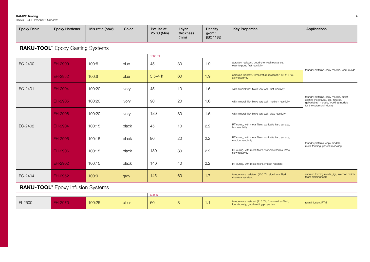RAKU-TOOL Product Overview

| <b>Epoxy Resin</b> | <b>Epoxy Hardener</b> | Mix ratio (pbw) | Color | Pot life at<br>25 °C (Min) | Layer<br>thickness | Density<br>q/cm <sup>3</sup> | <b>Key Properties</b> | Applications |
|--------------------|-----------------------|-----------------|-------|----------------------------|--------------------|------------------------------|-----------------------|--------------|
|                    |                       |                 |       |                            | (mm)               | (ISO 1183)                   |                       |              |

**RAKU-TOOL®** Epoxy Casting Systems

|         |         |        | 1000 ml |             |    |     | foundry patterns, copy models, foam molds<br>foundry patterns, copy models, direct<br>casting (negatives), jigs, fixtures,<br>galvanobath models, working models<br>for the ceramics industry |                                                                    |  |
|---------|---------|--------|---------|-------------|----|-----|-----------------------------------------------------------------------------------------------------------------------------------------------------------------------------------------------|--------------------------------------------------------------------|--|
| EC-2400 | EH-2909 | 100:6  | blue    | 45          | 30 | 1.9 | abrasion resistant, good chemical resistance,<br>easy to pour, fast reactivity                                                                                                                |                                                                    |  |
|         | EH-2952 | 100:6  | blue    | $3.5 - 4 h$ | 60 | 1.9 | abrasion resistant, temperature resistant (110-115 °C),<br>slow reactivity                                                                                                                    |                                                                    |  |
| EC-2401 | EH-2904 | 100:20 | ivory   | 45          | 10 | 1.6 | with mineral filler, flows very well, fast reactivity                                                                                                                                         |                                                                    |  |
|         | EH-2905 | 100:20 | ivory   | 90          | 20 | 1.6 | with mineral filler, flows very well, medium reactivity                                                                                                                                       |                                                                    |  |
|         | EH-2906 | 100:20 | ivory   | 180         | 80 | 1.6 | with mineral filler, flows very well, slow reactivity                                                                                                                                         |                                                                    |  |
| EC-2402 | EH-2904 | 100:15 | black   | 45          | 10 | 2.2 | RT curing, with metal fillers, workable hard surface,<br>fast reactivity                                                                                                                      |                                                                    |  |
|         | EH-2905 | 100:15 | black   | 90          | 20 | 2.2 | RT curing, with metal fillers, workable hard surface,<br>medium reactivity                                                                                                                    | foundry patterns, copy models,                                     |  |
|         | EH-2906 | 100:15 | black   | 180         | 80 | 2.2 | RT curing, with metal fillers, workable hard surface,<br>slow reactivity                                                                                                                      | metal forming, general modeling                                    |  |
|         | EH-2902 | 100:15 | black   | 140         | 40 | 2.2 | RT curing, with metal fillers, impact resistant                                                                                                                                               |                                                                    |  |
| EC-2404 | EH-2952 | 100:9  | gray    | 145         | 60 | 1.7 | temperature resistant (120 °C), aluminum filled,<br>chemical resistant                                                                                                                        | vacuum forming molds, jigs, injection molds,<br>foam molding tools |  |

**RAKU-TOOL®** Epoxy Infusion Systems

|         |                 | 500 m  |       |    |   |                                                                                             |                     |
|---------|-----------------|--------|-------|----|---|---------------------------------------------------------------------------------------------|---------------------|
| EI-2500 | ט <i>ו</i> צ∠-ד | 100:25 | clear | 60 | . | temperature resistant (115 °C), flows well, unfilled,<br>viscosity, good wetting properties | resin infusion, RTM |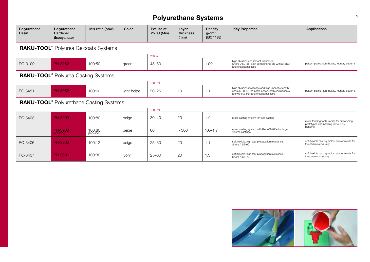### **Polyurethane Systems**

| Polyurethane<br>Resin                       | Polyurethane<br>Hardener<br>(Isocyanate)        | Mix ratio (pbw)         | Color       | Pot life at<br>25 °C (Min) | Layer<br>thickness<br>(mm) | Density<br>q/cm <sup>3</sup><br>(ISO 1183) | <b>Key Properties</b>                                                                                                                            | Applications                                                                      |  |
|---------------------------------------------|-------------------------------------------------|-------------------------|-------------|----------------------------|----------------------------|--------------------------------------------|--------------------------------------------------------------------------------------------------------------------------------------------------|-----------------------------------------------------------------------------------|--|
|                                             | <b>RAKU-TOOL</b> ® Polyurea Gelcoats Systems    |                         |             |                            |                            |                                            |                                                                                                                                                  |                                                                                   |  |
|                                             |                                                 |                         | 250 ml      |                            |                            |                                            |                                                                                                                                                  |                                                                                   |  |
| PG-3100                                     | <b>PH-3952</b>                                  | 100:50                  | green       | $45 - 50$                  | $\overline{\phantom{0}}$   | 1.09                                       | high abrasion and impact resistance,<br>Shore D 50-55, both components are without skull<br>and crossbones label                                 | pattern plates, core boxes, foundry patterns                                      |  |
| <b>RAKU-TOOL</b> ® Polyurea Casting Systems |                                                 |                         |             |                            |                            |                                            |                                                                                                                                                  |                                                                                   |  |
|                                             |                                                 |                         |             | 1000 ml                    |                            |                                            |                                                                                                                                                  |                                                                                   |  |
| PC-3451                                     | <b>PH-3952</b>                                  | 100:60                  | light beige | $20 - 25$                  | 10                         | 1.1                                        | high abrasion resistance and high impact strength,<br>shore D 60-65, no brittle phase, both components<br>are without skull and crossbones label | pattern plates, core boxes, foundry patterns                                      |  |
|                                             | <b>RAKU-TOOL</b> ® Polyurethane Casting Systems |                         |             |                            |                            |                                            |                                                                                                                                                  |                                                                                   |  |
|                                             |                                                 |                         |             | 1000 ml                    |                            |                                            |                                                                                                                                                  |                                                                                   |  |
| PC-3403                                     | PH-3903                                         | 100:80                  | beige       | $30 - 40$                  | 20                         | 1.2                                        | mass casting system for face casting                                                                                                             | metal forming tools, molds for prototyping,<br>prototypes and backing for foundry |  |
|                                             | <b>PH-3903</b><br>AC-9004)                      | 100:80<br>$(380 - 400)$ | beige       | 60                         | > 300                      | $1.6 - 1.7$                                | mass casting system with filler AC-9004 for large<br>volume castings                                                                             | patterns                                                                          |  |
| PC-3406                                     | PH-3906                                         | 100:12                  | beige       | $25 - 30$                  | 20                         | 1.1                                        | soft/flexible, high tear propagation resistance,<br>Shore A 55-60                                                                                | soft/flexible casting molds, plaster molds for<br>the ceramics industry           |  |
| PC-3407                                     | PH-3906                                         | 100:30                  | ivory       | $25 - 30$                  | 20                         | 1.3                                        | soft/flexible, high tear propagation resistance,<br>Shore A 65-70                                                                                | soft/flexible casting molds, plaster molds for<br>the ceramics industry           |  |

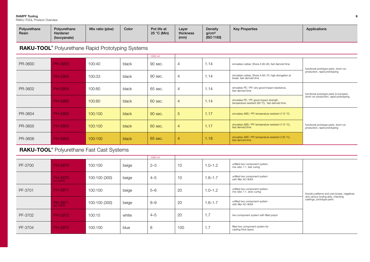RAKU-TOOL Product Overview

| Polvurethane | Polvurethane | Mix ratio (pbw) | Color | Pot life at | Layer     | Density           | <b>Key Properties</b> | Applications |
|--------------|--------------|-----------------|-------|-------------|-----------|-------------------|-----------------------|--------------|
| Resin        | Hardener     |                 |       | 25 °C (Min) | thickness | q/cm <sup>3</sup> |                       |              |
|              | (Isocyanate) |                 |       |             | (mm)      | (ISO 1183)        |                       |              |
|              |              |                 |       |             |           |                   |                       |              |

**RAKU-TOOL®** Polyurethane Rapid Prototyping Systems

|         |         |         |       | 1000 ml |   |      |                                                                                             |                                                                        |
|---------|---------|---------|-------|---------|---|------|---------------------------------------------------------------------------------------------|------------------------------------------------------------------------|
| PR-3600 | PH-3900 | 100:40  | black | 90 sec. | 4 | 1.14 | simulates rubber, Shore A 80-85, fast demold time                                           | functional prototype parts, short run                                  |
|         | PH-3904 | 100:33  | black | 90 sec. | 4 | 1.14 | simulates rubber, Shore A 65-70, high elongation at<br>break, fast demold time              | production, rapid prototyping                                          |
| PR-3602 | PH-3904 | 100:80  | black | 65 sec. | 4 | 1.14 | simulates PE / PP, very good impact resistance,<br>fast demold time                         | functional prototype parts & bumpers,                                  |
|         | PH-3905 | 100:80  | black | 60 sec. | 4 | 1.14 | simulates PE / PP, good impact strength,<br>temperature resistant (90 °C), fast demold time | short run production, rapid prototyping                                |
| PR-3604 | PH-3905 | 100:100 | black | 90 sec. | 5 | 1.17 | simulates ABS / PP, temperature resistant (115 °C)                                          |                                                                        |
| PR-3605 | PH-3905 | 100:100 | black | 60 sec. | 4 | 1.17 | simulates ABS / PP, temperature resistant (115 °C),<br>fast demold time                     | functional prototype parts, short run<br>production, rapid prototyping |
| PR-3606 | PH-3905 | 100:100 | black | 65 sec. | 4 | 1.18 | simulates ABS / PP, temperature resistant (135 °C),<br>fast demold time                     |                                                                        |

**RAKU-TOOL®** Polyurethane Fast Cast Systems

|         |                        |               |       | 1000 ml |     |             |                                                              |                                                                                  |
|---------|------------------------|---------------|-------|---------|-----|-------------|--------------------------------------------------------------|----------------------------------------------------------------------------------|
| PF-3700 | <b>PH-3970</b>         | 100:100       | beige | $2 - 3$ | 10  | $1.0 - 1.2$ | unfilled two component system,<br>mix ratio 1:1, fast curing |                                                                                  |
|         | PH-3970<br>(AC-9004)   | 100:100 (300) | beige | $4 - 5$ | 10  | $1.6 - 1.7$ | unfilled two component system<br>with filler AC-9004         |                                                                                  |
| PF-3701 | PH-3971                | 100:100       | beige | $5 - 6$ | 20  | $1.0 - 1.2$ | unfilled two component system,<br>mix ratio 1:1, slow curing | foundry patterns and core boxes, negatives<br>and various tooling aids, checking |
|         | PH-3971<br>$(AC-9004)$ | 100:100 (300) | beige | $8 - 9$ | 20  | $1.6 - 1.7$ | unfilled two component system<br>with filler AC-9004         | castings, prototype parts                                                        |
| PF-3702 | PH-3972                | 100:15        | white | $4 - 5$ | 20  | 1.7         | two component system with filled polyol                      |                                                                                  |
| PF-3704 | PH-3974                | 100:100       | blue  | 8       | 100 | 1.7         | filled two component system for<br>casting thick layers      |                                                                                  |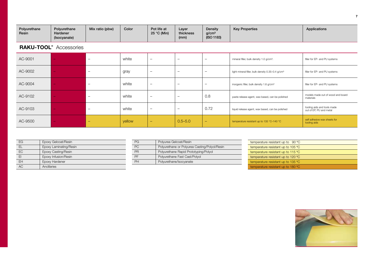| Polyurethane<br>Resin | Polvurethane<br>Hardener<br>(Isocyanate) | Mix ratio (pbw) | Color | Pot life at<br>25 °C (Min) | Layer<br>thickness<br>(mm) | Density<br>g/cm <sup>3</sup><br>(ISO 1183) | <b>Key Properties</b> | Applications |
|-----------------------|------------------------------------------|-----------------|-------|----------------------------|----------------------------|--------------------------------------------|-----------------------|--------------|
|-----------------------|------------------------------------------|-----------------|-------|----------------------------|----------------------------|--------------------------------------------|-----------------------|--------------|

### **RAKU-TOOL®** Accessories

| AC-9001 | $\overline{\phantom{0}}$ | white  | $\overline{\phantom{0}}$ | $\overline{\phantom{0}}$ | $\overline{\phantom{0}}$ | mineral filler, bulk density 1.0 g/cm <sup>3</sup> .          | filler for EP- and PU systems                          |
|---------|--------------------------|--------|--------------------------|--------------------------|--------------------------|---------------------------------------------------------------|--------------------------------------------------------|
| AC-9002 | $\overline{\phantom{0}}$ | gray   |                          | $\overline{\phantom{0}}$ | $\overline{\phantom{0}}$ | light mineral filler, bulk density 0.35-0.4 g/cm <sup>3</sup> | filler for EP- and PU systems                          |
| AC-9004 | $\overline{\phantom{0}}$ | white  | $\qquad \qquad -$        | $\qquad \qquad -$        | $\overline{\phantom{0}}$ | inorganic filler, bulk density 1.6 g/cm <sup>3</sup>          | filler for EP- and PU systems                          |
| AC-9102 | $\overline{\phantom{0}}$ | white  |                          | $\overline{\phantom{0}}$ | 0.8                      | paste release agent, wax based, can be polished               | models made out of wood and board<br>materials         |
| AC-9103 | $\overline{\phantom{0}}$ | white  | $\overline{\phantom{0}}$ | $\overline{\phantom{0}}$ | 0.72                     | liquid release agent, wax based, can be polished              | tooling aids and tools made<br>out of EP, PU and metal |
| AC-9500 | $\overline{\phantom{0}}$ | yellow | $\qquad \qquad -$        | $0.5 - 5.0$              | $-$                      | temperature resistant up to 135 °C-140 °C                     | self adhesive wax sheets for<br>tooling aids           |

| EG        | Epoxy Gelcoat/Resin    |
|-----------|------------------------|
| FI        | Epoxy Laminating/Resin |
| FC.       | Epoxy Casting/Resin    |
| FI        | Epoxy Infusion/Resin   |
| <b>FH</b> | Epoxy Hardener         |
| AC        | Ancillaries            |

| PG        | Polyurea Gelcoat/Resin                        |
|-----------|-----------------------------------------------|
| PC        | Polyurethane or Polyurea Casting/Polyol/Resin |
| <b>PR</b> | Polyurethane Rapid Prototyping/Polyol         |
| PF        | Polyurethane Fast Cast/Polyol                 |
| PH        | Polyurethane/Isocyanate                       |

| temperature resistant up to $90^{\circ}$ C  |
|---------------------------------------------|
| temperature resistant up to 105 °C          |
| temperature resistant up to 115 $\degree$ C |
| temperature resistant up to 120 °C          |
| temperature resistant up to 135 °C          |
| temperature resistant up to 180 °C          |
|                                             |

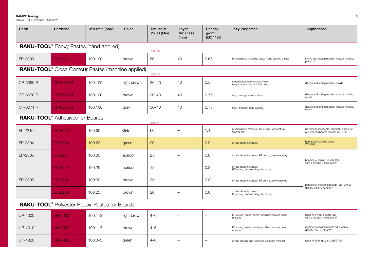RAKU-TOOL Product Overview

| Hardener                                              |             |             | 25 °C (Min)                                                                                 | thickness<br>(mm)        | <b>Density</b><br>g/cm <sup>3</sup><br>(ISO 1183) | <b>Key Properties</b>                                              | Applications                                                                        |
|-------------------------------------------------------|-------------|-------------|---------------------------------------------------------------------------------------------|--------------------------|---------------------------------------------------|--------------------------------------------------------------------|-------------------------------------------------------------------------------------|
|                                                       |             |             | 1000 ml                                                                                     |                          |                                                   |                                                                    |                                                                                     |
| EH-2930                                               | 100:100     | brown       | 60                                                                                          | 40                       | 0.65                                              | multipurpose modeling paste (hand applied paste)                   | styling and design models, master models,<br>patterns                               |
|                                                       |             |             | 1000 ml                                                                                     |                          |                                                   |                                                                    |                                                                                     |
| CP-6050 H                                             | 100:100     | light brown | $30 - 40$                                                                                   | 40                       | 0.5                                               | smooth, homogeneous surface,<br>easy to machine, very little dust  | design and styling models, molds                                                    |
| CP-6070 H                                             | 100:100     | brown       | $30 - 40$                                                                                   | 40                       | 0.75                                              | fine, homogeneous surface                                          | design and styling models, master models,<br>molds                                  |
| CP-6070 H                                             | 100:100     | gray        | $30 - 40$                                                                                   | 40                       | 0.75                                              | fine, homogeneous surface                                          | design and styling models, master models,<br>molds                                  |
| <b>RAKU-TOOL</b> <sup>®</sup> Adhesives for Boards    |             |             |                                                                                             |                          |                                                   |                                                                    |                                                                                     |
| EH-2910                                               | 100:60      | clear       | 60                                                                                          | $\overline{\phantom{0}}$ | 1.1                                               | multipurpose adhesive, RT curing, long pot life,<br>easy to mix    | universally applicable, especially suited for<br>our working boards (except WB-700) |
| EH-2934                                               | 100:20      | green       | 90                                                                                          |                          | 0.9                                               | similar shore hardness                                             | bonding of working board<br><b>WB-0700</b>                                          |
| EH-2904                                               | 100:30      | apricot     | 25                                                                                          | $\overline{a}$           | 0.8                                               | similar shore hardness, RT curing, slow reactivity                 | bonding of styling boards (SB)                                                      |
| EH-2903                                               | 100:25      | apricot     | 15                                                                                          | $\qquad \qquad -$        | 0.8                                               | similar shore hardness,<br>RT curing, fast reactivity, thixotropic | with a density $< 0.55$ g/cm <sup>3</sup>                                           |
| EH-2904                                               | 100:30      | brown       | 35                                                                                          | $\overline{\phantom{m}}$ | 0.8                                               | similar shore hardness, RT curing, slow reactivity                 | bonding of modeling boards (MB) with a                                              |
| EH-2903                                               | 100:25      | brown       | 20                                                                                          | $\overline{\phantom{0}}$ | 0.8                                               | similar shore hardness,<br>RT curing, fast reactivity, thixotropic | density 0.55-0.72 g/cm <sup>3</sup>                                                 |
| <b>RAKU-TOOL</b> ® Polyester Repair Pastes for Boards |             |             |                                                                                             |                          |                                                   |                                                                    |                                                                                     |
| <b>UH-4900</b>                                        | $100:1 - 3$ | light brown | $4 - 6$                                                                                     | $-$                      | $\overline{\phantom{m}}$                          | RT curing, similar density and hardness as board<br>material       | repair of styling boards (SB)<br>with a density < $0.55$ g/cm <sup>3</sup>          |
| <b>UH-4900</b>                                        | $100:1 - 3$ | brown       | $4 - 6$                                                                                     | $\equiv$                 | $\overline{\phantom{0}}$                          | RT curing, similar density and hardness as board<br>material       | repair of modeling boards (MB) with a<br>density $0.55 - 0.72$ g/cm <sup>3</sup>    |
| <b>UH-4920</b>                                        | $100:3 - 5$ | green       | $4 - 6$                                                                                     | $\overline{\phantom{0}}$ | —                                                 | similar density and hardness as board material                     | repair of tooling board WB-0700                                                     |
|                                                       |             |             | RAKU-TOOL® Epoxy Pastes (hand applied)<br>RAKU-TOOL® Close Contour Pastes (machine applied) | 500 ml                   | Mix ratio (pbw)<br>Pot life at<br>Color<br>Layer  |                                                                    |                                                                                     |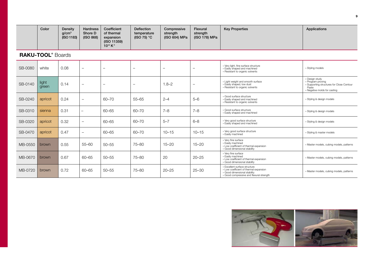|  | Color | Density<br>g/cm <sup>3</sup><br>(ISO 1183) | <b>Hardness</b><br>Shore D<br>(ISO 868) | Coefficient<br>of thermal<br>expansion<br>(ISO 11359)<br>$10^{-6}$ K <sup>-1</sup> | Deflection<br>temperature<br>(ISO 75) $^{\circ}$ C | Compressive<br>strength<br>(ISO 604) MPa | Flexural<br>strength<br>(ISO 178) MPa | <b>Key Properties</b> | Applications |
|--|-------|--------------------------------------------|-----------------------------------------|------------------------------------------------------------------------------------|----------------------------------------------------|------------------------------------------|---------------------------------------|-----------------------|--------------|
|--|-------|--------------------------------------------|-----------------------------------------|------------------------------------------------------------------------------------|----------------------------------------------------|------------------------------------------|---------------------------------------|-----------------------|--------------|

**RAKU-TOOL®** Boards

| SB-0080 | white          | 0.08 | $\overline{\phantom{m}}$ | $\overline{\phantom{0}}$ |                          | $\overline{\phantom{0}}$ | $\qquad \qquad -$        | » Very light, fine surface structure<br>» Easily shaped and machined<br>» Resistant to organic solvents                                             | » Styling models                                                                                                          |
|---------|----------------|------|--------------------------|--------------------------|--------------------------|--------------------------|--------------------------|-----------------------------------------------------------------------------------------------------------------------------------------------------|---------------------------------------------------------------------------------------------------------------------------|
| SB-0140 | light<br>green | 0.14 | $\overline{\phantom{m}}$ | $\overline{\phantom{0}}$ | $\overline{\phantom{a}}$ | $1.8 - 2$                | $\overline{\phantom{0}}$ | » Light weight and smooth surface<br>» Easily shaped, low dust<br>» Resistant to organic solvents                                                   | » Design study<br>» Program proving<br>» Supporting structures for Close Contour<br>Paste<br>» Negative molds for casting |
| SB-0240 | apricot        | 0.24 | $\qquad \qquad -$        | $60 - 70$                | 55-65                    | $2 - 4$                  | $5 - 6$                  | » Good surface structure<br>» Easily shaped and machined<br>» Resistant to organic solvents                                                         | » Styling & design models                                                                                                 |
| SB-0310 | sienna         | 0.31 | $\overline{\phantom{0}}$ | $60 - 65$                | 60-70                    | $7 - 8$                  | $7 - 8$                  | » Good surface structure<br>» Easily shaped and machined                                                                                            | » Styling & design models                                                                                                 |
| SB-0320 | apricot        | 0.32 | $\overline{\phantom{m}}$ | 60-65                    | 60-70                    | $5 - 7$                  | $6 - 8$                  | » Very good surface structure<br>» Easily shaped and machined                                                                                       | » Styling & design models                                                                                                 |
| SB-0470 | apricot        | 0.47 | $\overline{\phantom{a}}$ | 60-65                    | 60-70                    | $10 - 15$                | $10 - 15$                | » Very good surface structure<br>» Easily machined                                                                                                  | » Styling & master models                                                                                                 |
| MB-0550 | <b>brown</b>   | 0.55 | $55 - 60$                | $50 - 55$                | 75-80                    | $15 - 20$                | $15 - 20$                | » Very fine surface<br>» Easily machined<br>» Low coefficient of thermal expansion<br>» Good dimensional stability                                  | » Master models, cubing models, patterns                                                                                  |
| MB-0670 | <b>brown</b>   | 0.67 | 60-65                    | $50 - 55$                | 75-80                    | 20                       | $20 - 25$                | » Very fine surface<br>» Easily machined<br>» Low coefficient of thermal expansion<br>» Good dimensional stability                                  | » Master models, cubing models, patterns                                                                                  |
| MB-0720 | brown          | 0.72 | 60-65                    | $50 - 55$                | 75-80                    | $20 - 25$                | $25 - 30$                | » Excellent surface structure<br>» Low coefficient of thermal expansion<br>» Good dimensional stability<br>» Good compressive and flexural strength | » Master models, cubing models, patterns                                                                                  |

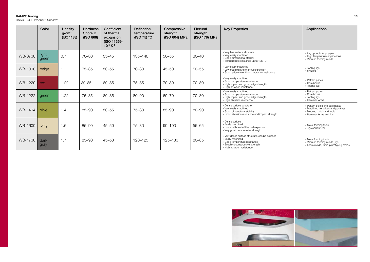RAKU-TOOL Product Overview

|         | Color          | Density<br>q/cm <sup>3</sup><br>(ISO 1183) | <b>Hardness</b><br>Shore D<br>(ISO 868) | Coefficient<br>of thermal<br>expansion<br>(ISO 11359)<br>$10^{-6} K^{-1}$ | Deflection<br>temperature<br>(ISO 75) $^{\circ}$ C | Compressive<br>strength<br>(ISO 604) MPa | <b>Flexural</b><br>strength<br>(ISO 178) MPa | <b>Key Properties</b>                                                                                                                                                   | Applications                                                                                                                  |
|---------|----------------|--------------------------------------------|-----------------------------------------|---------------------------------------------------------------------------|----------------------------------------------------|------------------------------------------|----------------------------------------------|-------------------------------------------------------------------------------------------------------------------------------------------------------------------------|-------------------------------------------------------------------------------------------------------------------------------|
| WB-0700 | light<br>green | 0.7                                        | $70 - 80$                               | $35 - 45$                                                                 | 135-140                                            | $50 - 55$                                | $30 - 40$                                    | » Very fine surface structure<br>» Very easily machined<br>» Good dimensional stability<br>» Temperature resistance up to 135 °C                                        | » Lay up tools for pre-preg<br>» High temperature applications<br>» Vacuum forming molds                                      |
| WB-1000 | beige          |                                            | $75 - 85$                               | $50 - 55$                                                                 | 70-80                                              | $45 - 50$                                | $50 - 55$                                    | » Very easily machined<br>» Low coefficient of thermal expansion<br>» Good edge strength and abrasion resistance                                                        | » Tooling jigs<br>» Fixtures                                                                                                  |
| WB-1220 | red.           | 1.22                                       | 80-85                                   | 80-85                                                                     | 75-85                                              | $70 - 80$                                | 70-80                                        | » Very easily machined<br>» Good temperature resistance<br>» High impact and good edge strength<br>» High abrasion resistance                                           | » Pattern plates<br>» Core boxes<br>» Tooling jigs                                                                            |
| WB-1222 | green          | 1.22                                       | $75 - 85$                               | $80 - 85$                                                                 | 80-90                                              | $60 - 70$                                | $70 - 80$                                    | » Very easily machined<br>» Good temperature resistance<br>» High impact and good edge strength<br>» High abrasion resistance                                           | » Pattern plates<br>» Core boxes<br>» Tooling jigs<br>» Hammer forms                                                          |
| WB-1404 | olive          | 1.4                                        | 85-90                                   | $50 - 55$                                                                 | 75–80                                              | $85 - 90$                                | 80-90                                        | » Dense surface structure<br>» Very easily machined<br>» Good dimensional stability<br>» Good abrasion resistance and impact strength                                   | » Pattern plates and core boxes<br>» Machined negatives and positives<br>» Models, molds and tools<br>» Hammer forms and jigs |
| WB-1600 | <i>ivory</i>   | 1.6                                        | 85-90                                   | $45 - 50$                                                                 | 75–80                                              | $90 - 100$                               | $55 - 65$                                    | » Dense surface<br>» Easily machined<br>» Low coefficient of thermal expansion<br>» Very good compressive strength                                                      | » Metal forming tools<br>» Jigs and fixtures                                                                                  |
| WB-1700 | dark<br>gray   | 1.7                                        | $85 - 90$                               | $45 - 50$                                                                 | 120-125                                            | 125-130                                  | $80 - 85$                                    | » Very dense surface structure, can be polished<br>» Easily machined<br>» Good temperature resistance<br>» Excellent compressive strength<br>» High abrasion resistance | » Metal forming tools<br>» Vacuum forming molds, jigs<br>» Foam molds, rapid prototyping molds                                |

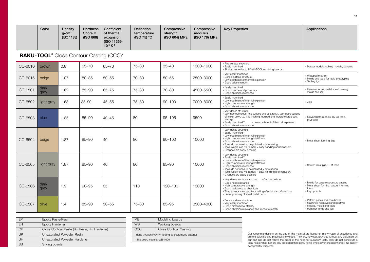|         | Color                                                                  | Density<br>a/cm <sup>3</sup><br>(ISO 1183) | <b>Hardness</b><br>Shore D<br>(ISO 868) | Coefficient<br>of thermal<br>expansion<br>(ISO 11359)<br>$10^{-6} K^{-1}$ | <b>Deflection</b><br>temperature<br>(ISO 75) $^{\circ}$ C | Compressive<br>strength<br>(ISO 604) MPa | Compressive<br>modulus<br>(ISO 178) MPa | <b>Key Properties</b>                                                                                                                                                                                                                                                                                              | Applications                                                                                                                  |
|---------|------------------------------------------------------------------------|--------------------------------------------|-----------------------------------------|---------------------------------------------------------------------------|-----------------------------------------------------------|------------------------------------------|-----------------------------------------|--------------------------------------------------------------------------------------------------------------------------------------------------------------------------------------------------------------------------------------------------------------------------------------------------------------------|-------------------------------------------------------------------------------------------------------------------------------|
|         | <b>RAKU-TOOL</b> <sup>®</sup> Close Contour Casting (CCC) <sup>*</sup> |                                            |                                         |                                                                           |                                                           |                                          |                                         |                                                                                                                                                                                                                                                                                                                    |                                                                                                                               |
| CC-6010 | <b>brown</b>                                                           | 0.8                                        | $65 - 70$                               | $65 - 70$                                                                 | 75-80                                                     | $35 - 40$                                | 1300-1600                               | » Fine surface structure<br>» Easily machined<br>» Similar properties to RAKU-TOOL modeling boards                                                                                                                                                                                                                 | » Master models, cubing models, patterns                                                                                      |
| CC-6015 | beige                                                                  | 1.07                                       | 80-85                                   | $50 - 55$                                                                 | 70-80                                                     | $50 - 55$                                | 2500-3000                               | » Very easily machined<br>» Dense surface structure<br>» Low coefficient of thermal expansion<br>» Good edge strength                                                                                                                                                                                              | » Wrapped models<br>» Molds and tools for rapid prototyping<br>» Tooling jigs                                                 |
| CC-6501 | dark<br>gray                                                           | 1.62                                       | 85-90                                   | 65-75                                                                     | $75 - 80$                                                 | 70-80                                    | 4500-5500                               | » Easily machined<br>» Good mechanical properties<br>» Good abrasion resistance                                                                                                                                                                                                                                    | » Hammer forms, metal sheet forming,<br>molds and jigs                                                                        |
| CC-6502 | light gray                                                             | 1.68                                       | $85 - 90$                               | $45 - 55$                                                                 | 75-80                                                     | $90 - 100$                               | 7000-8000                               | » Easily machined<br>» Low coefficient of thermal expansion<br>» High compressive strength<br>» Good abrasion resistance                                                                                                                                                                                           | » Jigs                                                                                                                        |
| CC-6503 | blue                                                                   | 1.85                                       | $85 - 90$                               | $40 - 45$                                                                 | 80                                                        | $95 - 105$                               | 9500                                    | » Very dense structure<br>» Very homogeneous, fine surface and as a result, very good surface<br>of nickel bowl, i.e. little finishing required and therefore large cost<br>savings<br>» Easily machined**<br>» Low coefficient of thermal expansion<br>» Good abrasion resistance                                 | » Galvanobath models, lay up tools,<br>RIM tools                                                                              |
| CC-6504 | beige                                                                  | 1.87                                       | $85 - 90$                               | 40                                                                        | 80                                                        | $90 - 100$                               | 10000                                   | » Very dense structure<br>» Easily machined**<br>» Low coefficient of thermal expansion<br>» High compressive strength/stiffness<br>» Good abrasion resistance<br>» Tools do not need to be polished = time saving<br>» Tools weigh less (vs Zamak) = easy handling and transport<br>» Changes are easily possible | » Metal sheet forming, jigs                                                                                                   |
| CC-6505 | light gray                                                             | 1.87                                       | $85 - 90$                               | 40                                                                        | 80                                                        | $85 - 90$                                | 10000                                   | » Very dense structure<br>» Easily machined**<br>» Low coefficient of thermal expansion<br>» High compressive strength/stiffness<br>» Good abrasion resistance<br>» Tools do not need to be polished = time saving<br>» Tools weigh less (vs Zamak) = easy handling and transport<br>» Changes are easily possible | » Stretch dies, jigs, RTM tools                                                                                               |
| CC-6506 | dark<br>gray                                                           | 1.9                                        | $90 - 95$                               | 35                                                                        | 110                                                       | 120-130                                  | 13000                                   | » Very dense surface structure<br>» Can be polished<br>» Good heat resistance<br>» High compressive strength<br>» Good resistance to chemicals<br>» Time savings through direct milling of mold via surface data<br>» Better pressing of sheet metal parts                                                         | » Molds for ceramic pressure casting<br>» Metal sheet forming, vacuum forming<br>tools.<br>» Lay up tools                     |
| CC-6507 | olive                                                                  | 1.4                                        | $85 - 90$                               | $50 - 55$                                                                 | $75 - 80$                                                 | 85-95                                    | 3500-4000                               | » Dense surface structure<br>» Very easily machined<br>» Good dimensional stability<br>» Good abrasion resistance and impact strength                                                                                                                                                                              | » Pattern plates and core boxes<br>» Machined negatives and positives<br>» Models, molds and tools<br>» Hammer forms and jigs |

| FP        | Epoxy Paste/Resin                           |
|-----------|---------------------------------------------|
| <b>EH</b> | Epoxy Hardener                              |
| СP        | Close Contour Paste (R= Resin, H= Hardener) |
| UP        | Unsaturated Polyester Resin                 |
| UΗ        | Unsaturated Polyester Hardener              |
| SB        | Styling boards                              |

| <b>M<sub>B</sub></b>                                | Modeling boards       |
|-----------------------------------------------------|-----------------------|
| <b>W<sub>R</sub></b>                                | Working boards        |
| CCC                                                 | Close Contour Casting |
| * done through RAMPF Tooling as customized castings |                       |
| ** like board material WB-1600                      |                       |

Our recommendations on the use of the material are based on many years of experience and current scientific and practical knowledge. They are, however, provided without any obligation on our part and to not relieve the buy